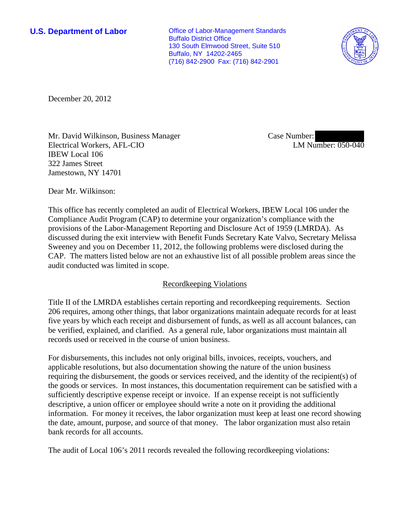**U.S. Department of Labor Conservative Conservative Conservative Conservative Conservative Conservative Conservative Conservative Conservative Conservative Conservative Conservative Conservative Conservative Conservative** Buffalo District Office 130 South Elmwood Street, Suite 510 Buffalo, NY 14202-2465 (716) 842-2900 Fax: (716) 842-2901



December 20, 2012

Mr. David Wilkinson, Business Manager Electrical Workers, AFL-CIO IBEW Local 106 322 James Street Jamestown, NY 14701

Case Number: LM Number: 050-040

Dear Mr. Wilkinson:

This office has recently completed an audit of Electrical Workers, IBEW Local 106 under the Compliance Audit Program (CAP) to determine your organization's compliance with the provisions of the Labor-Management Reporting and Disclosure Act of 1959 (LMRDA). As discussed during the exit interview with Benefit Funds Secretary Kate Valvo, Secretary Melissa Sweeney and you on December 11, 2012, the following problems were disclosed during the CAP. The matters listed below are not an exhaustive list of all possible problem areas since the audit conducted was limited in scope.

# Recordkeeping Violations

Title II of the LMRDA establishes certain reporting and recordkeeping requirements. Section 206 requires, among other things, that labor organizations maintain adequate records for at least five years by which each receipt and disbursement of funds, as well as all account balances, can be verified, explained, and clarified. As a general rule, labor organizations must maintain all records used or received in the course of union business.

For disbursements, this includes not only original bills, invoices, receipts, vouchers, and applicable resolutions, but also documentation showing the nature of the union business requiring the disbursement, the goods or services received, and the identity of the recipient(s) of the goods or services. In most instances, this documentation requirement can be satisfied with a sufficiently descriptive expense receipt or invoice. If an expense receipt is not sufficiently descriptive, a union officer or employee should write a note on it providing the additional information. For money it receives, the labor organization must keep at least one record showing the date, amount, purpose, and source of that money. The labor organization must also retain bank records for all accounts.

The audit of Local 106's 2011 records revealed the following recordkeeping violations: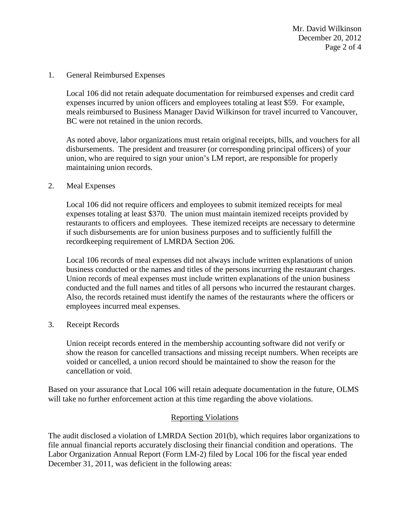Mr. David Wilkinson December 20, 2012 Page 2 of 4

1. General Reimbursed Expenses

Local 106 did not retain adequate documentation for reimbursed expenses and credit card expenses incurred by union officers and employees totaling at least \$59. For example, meals reimbursed to Business Manager David Wilkinson for travel incurred to Vancouver, BC were not retained in the union records.

As noted above, labor organizations must retain original receipts, bills, and vouchers for all disbursements. The president and treasurer (or corresponding principal officers) of your union, who are required to sign your union's LM report, are responsible for properly maintaining union records.

2. Meal Expenses

Local 106 did not require officers and employees to submit itemized receipts for meal expenses totaling at least \$370. The union must maintain itemized receipts provided by restaurants to officers and employees. These itemized receipts are necessary to determine if such disbursements are for union business purposes and to sufficiently fulfill the recordkeeping requirement of LMRDA Section 206.

Local 106 records of meal expenses did not always include written explanations of union business conducted or the names and titles of the persons incurring the restaurant charges. Union records of meal expenses must include written explanations of the union business conducted and the full names and titles of all persons who incurred the restaurant charges. Also, the records retained must identify the names of the restaurants where the officers or employees incurred meal expenses.

3. Receipt Records

Union receipt records entered in the membership accounting software did not verify or show the reason for cancelled transactions and missing receipt numbers. When receipts are voided or cancelled, a union record should be maintained to show the reason for the cancellation or void.

Based on your assurance that Local 106 will retain adequate documentation in the future, OLMS will take no further enforcement action at this time regarding the above violations.

# Reporting Violations

The audit disclosed a violation of LMRDA Section 201(b), which requires labor organizations to file annual financial reports accurately disclosing their financial condition and operations. The Labor Organization Annual Report (Form LM-2) filed by Local 106 for the fiscal year ended December 31, 2011, was deficient in the following areas: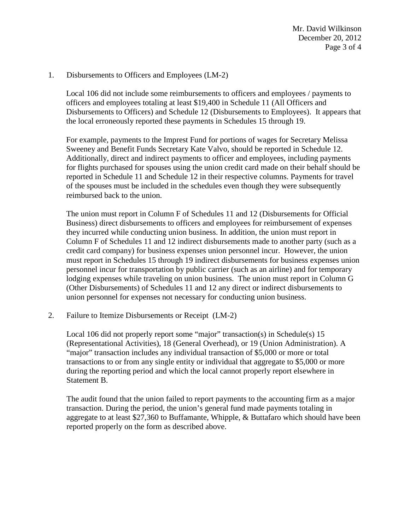Mr. David Wilkinson December 20, 2012 Page 3 of 4

#### 1. Disbursements to Officers and Employees (LM-2)

Local 106 did not include some reimbursements to officers and employees / payments to officers and employees totaling at least \$19,400 in Schedule 11 (All Officers and Disbursements to Officers) and Schedule 12 (Disbursements to Employees). It appears that the local erroneously reported these payments in Schedules 15 through 19.

For example, payments to the Imprest Fund for portions of wages for Secretary Melissa Sweeney and Benefit Funds Secretary Kate Valvo, should be reported in Schedule 12. Additionally, direct and indirect payments to officer and employees, including payments for flights purchased for spouses using the union credit card made on their behalf should be reported in Schedule 11 and Schedule 12 in their respective columns. Payments for travel of the spouses must be included in the schedules even though they were subsequently reimbursed back to the union.

The union must report in Column F of Schedules 11 and 12 (Disbursements for Official Business) direct disbursements to officers and employees for reimbursement of expenses they incurred while conducting union business. In addition, the union must report in Column F of Schedules 11 and 12 indirect disbursements made to another party (such as a credit card company) for business expenses union personnel incur. However, the union must report in Schedules 15 through 19 indirect disbursements for business expenses union personnel incur for transportation by public carrier (such as an airline) and for temporary lodging expenses while traveling on union business. The union must report in Column G (Other Disbursements) of Schedules 11 and 12 any direct or indirect disbursements to union personnel for expenses not necessary for conducting union business.

2. Failure to Itemize Disbursements or Receipt (LM-2)

Local 106 did not properly report some "major" transaction(s) in Schedule(s) 15 (Representational Activities), 18 (General Overhead), or 19 (Union Administration). A "major" transaction includes any individual transaction of \$5,000 or more or total transactions to or from any single entity or individual that aggregate to \$5,000 or more during the reporting period and which the local cannot properly report elsewhere in Statement B.

The audit found that the union failed to report payments to the accounting firm as a major transaction. During the period, the union's general fund made payments totaling in aggregate to at least \$27,360 to Buffamante, Whipple, & Buttafaro which should have been reported properly on the form as described above.